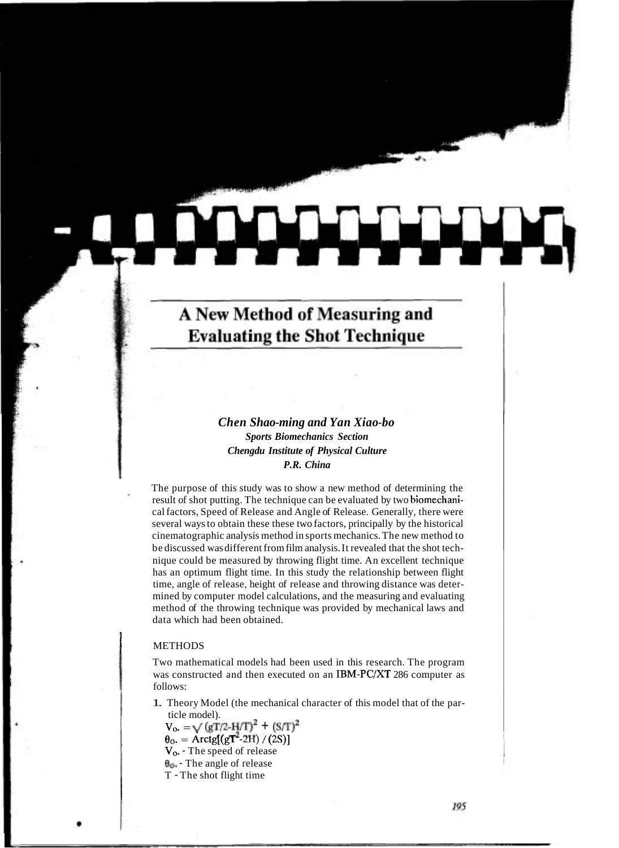# A New Method of Measuring and **Evaluating the Shot Technique**

## *Chen Shao-ming and Yan Xiao-bo Sports Biomechanics Section Chengdu Institute of Physical Culture P.R. China*

The purpose of this study was to show a new method of determining the result of shot putting. The technique can be evaluated by two biomechanical factors, Speed of Release and Angle of Release. Generally, there were several ways to obtain these these two factors, principally by the historical cinematographic analysis method in sports mechanics. The new method to be discussed was different from film analysis. It revealed that the shot technique could be measured by throwing flight time. An excellent technique has an optimum flight time. In this study the relationship between flight time, angle of release, height of release and throwing distance was determined by computer model calculations, and the measuring and evaluating method of the throwing technique was provided by mechanical laws and data which had been obtained.

### **METHODS**

Two mathematical models had been used in this research. The program was constructed and then executed on an IBM-PC/XT 286 computer as follows:

1. Theory Model (the mechanical character of this model that of the particle model).

 $V_{\text{o}} = \sqrt{(gT/2-H/T)^2 + (S/T)^2}$  $\theta_{0} = \text{Arctg}[(gT^2-2H)/(2S)]$ **Vo.** - The speed of release **Bo.** - The angle of release T - The shot flight time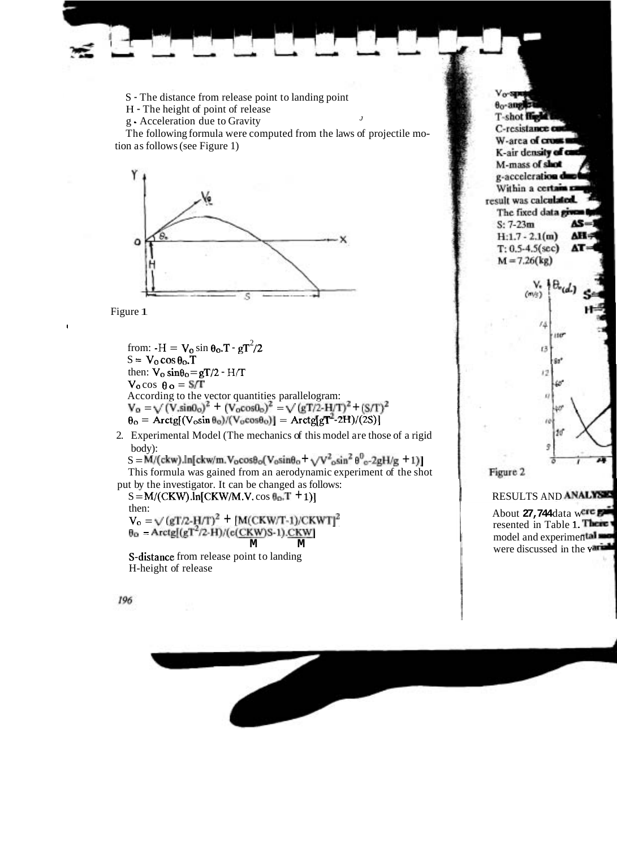S - The distance from release point to landing point

H - The height of point of release

g - Acceleration due to Gravity <sup>J</sup>

The following formula were computed from the laws of projectile motion as follows (see Figure 1)



Figure 1

from:  $-H = V_0 \sin \theta_0 \cdot T - gT^2/2$  $S = V_0 \cos \theta_0$ . T then:  $V_0 \sin\theta_0 = gT/2 - H/T$  $V_0 \cos \theta_0 = S/T$ According to the vector quantities parallelogram:<br> $V_0 = \sqrt{(V \sin \theta_0)^2 + (V_0 \cos \theta_0)^2} = \sqrt{(gT/2 - H/T)^2 + (S/T)^2}$  $\theta_{\rm o} = \text{Arctg}[(V_{\rm o} \sin \theta_{\rm o})/(V_{\rm o} \cos \theta_{\rm o})] = \text{Arctg}[gT^2-2H)/(2S)]$ 

2. Experimental Model (The mechanics of this model are those of a rigid body):

 $S = M/(\text{ckw}).\ln[\text{ckw/m}.V_0\cos\theta_0(V_0\sin\theta_0 + \sqrt{V^2}\sin^2\theta^0_0-2gH/g + 1)]$ 

This formula was gained from an aerodynamic experiment of the shot put by the investigator. It can be changed as follows:

 $S = M/(CKW) \cdot ln[CKW/M.V. \cos \theta_0$ . T + 1) then:  $V_{o} = \sqrt{(gT/2-H/T)^{2} + (M(CKW/T-1)/CKWT)^{2}}$  $\theta_{0}$  = Arctg[(gT<sup>2</sup>/2-H)/(e(<u>CKW)</u>S-1).CKW] **M M** 

S-distance from release point to landing H-height of release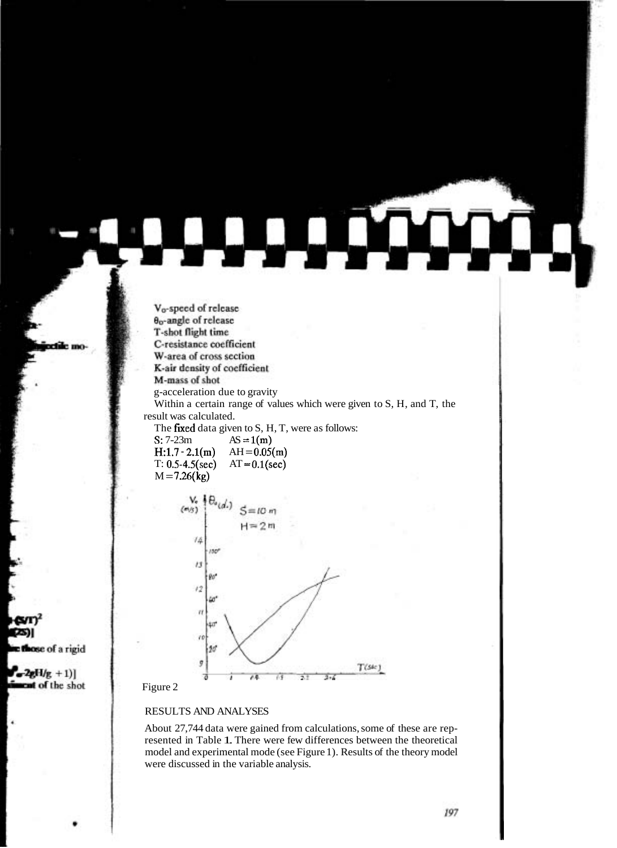V<sub>o-</sub>speed of release **O<sub>p</sub>-angle** of release T-shot flight time C-resistance coefficient W-area of cross section K-air density of coefficient M-mass of shot

g-acceleration due to gravity

Within a certain range of values which were given to S, H, and T, the result was calculated.

The fixed data given to  $S$ ,  $H$ ,  $T$ , were as follows:

S:  $7-23m$  AS =  $1(m)$ H:1.7 - 2.1(m) AH =  $0.05(m)$ <br>T: 0.5-4.5(sec) AT = 0.1(sec) T:  $0.5 - 4.5(\text{sec})$  $M = 7.26$ (kg)



#### Figure 2

#### RESULTS AND ANALYSES

About 27,744 data were gained from calculations, some of these are represented in Table 1. There were few differences between the theoretical model and experimental mode (see Figure 1). Results of the theory model were discussed in the variable analysis.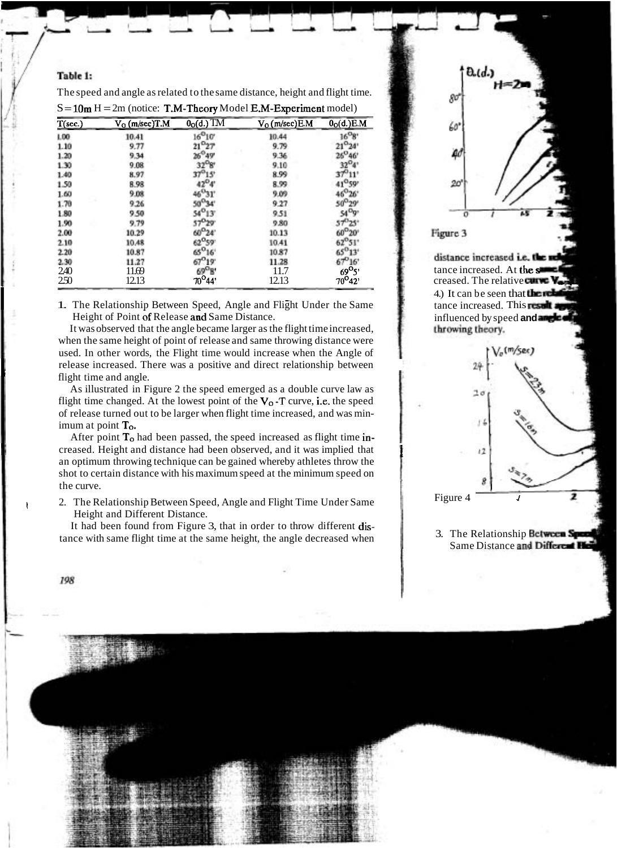## Table 1:

| $T(\text{sec.})$ | $V_0$ (m/sec)T.M | $0o(d.)$ TM                 | $V_0$ (m/sec) E.M | 0 <sub>O</sub> (d.)E.M |
|------------------|------------------|-----------------------------|-------------------|------------------------|
| 1.00.            | 10.41            | $16^{9}10'$                 | 10.44             | $16^{0}$ g             |
| 1.10             | 9.77             | $21^{0}27$                  | 9.79              |                        |
| 1.20             | 9.34             |                             | 9.36              |                        |
| 1.30             | 9.08             |                             | 9.10              |                        |
| 1.40             | 8.97             |                             | 8.99              |                        |
| 1.50             | 8.98             |                             | 8.99              |                        |
| 1.60             | 9.08             |                             | 9.09              |                        |
| 1.70             | 9.26             |                             | 9.27              |                        |
| 1.80             | 9.50             |                             | 9.51              |                        |
| 1.90             | 9.79             | 57029                       | 9.80              |                        |
| 2.00             | 10.29            | 60 <sup>0</sup> 24          | 10.13             |                        |
| 2.10             | 10.48            |                             | 10.41             |                        |
| 2.20             | 10.87            | $\mathbf{g}^{\mathbf{o}}$ . | 10.87             |                        |
| 2.30             | 11.27            |                             | 11.28             |                        |
| 2.40             | 11.69            | 69 <sup>0</sup> B'          | 11.7              | 69 <sup>0</sup> 5'     |
| 250              | 12.13            | $70^{\circ}44'$             | 12.13             | $70^{\circ}42'$        |

The speed and angle as related to the same distance, height and flight time.

1. The Relationship Between Speed, Angle and Flight Under the Same Height of Point of Release and Same Distance.

It was observed that the angle became larger as the flight time increased, when the same height of point of release and same throwing distance were used. In other words, the Flight time would increase when the Angle of flight time and angle. release increased. There was a positive and direct relationship between

As illustrated in Figure 2 the speed emerged as a double curve law as flight time changed. At the lowest point of the  $V_0$ -T curve, i.e. the speed of release turned out to be larger when flight time increased, and was minimum at point To.

After point  $T<sub>o</sub>$  had been passed, the speed increased as flight time inan optimum throwing technique can be gained whereby athletes throw the shot to certain distance with his maximum speed at the minimum speed on **I** creased. Height and distance had been observed, and it was implied that **<sup>f</sup>** the curve.

2. The Relationship Between Speed, Angle and Flight Time Under Same Height and Different Distance.

It had been found from Figure 3, that in order to throw different distance with same flight time at the same height, the angle decreased when

I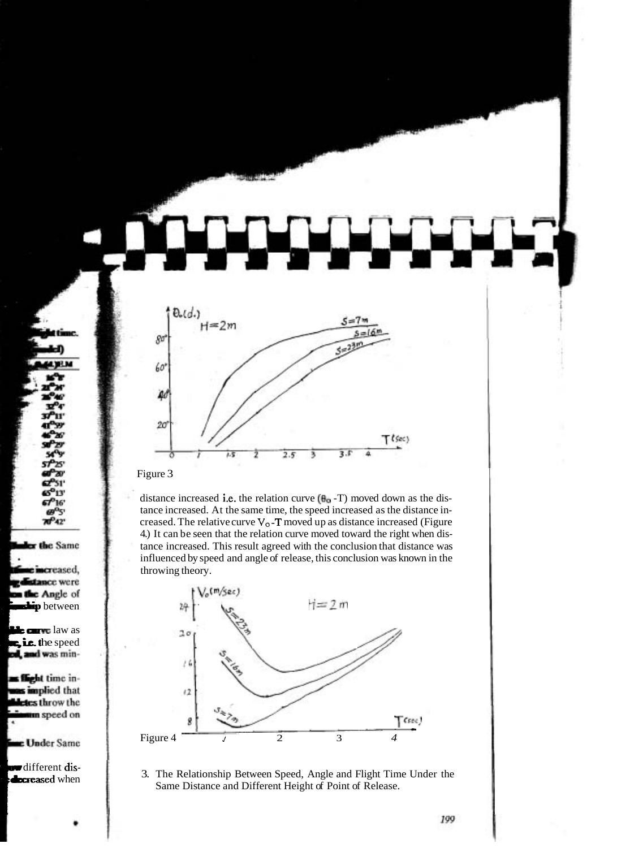

Figure 3

distance increased i.e. the relation curve  $(\mathbf{H}_0 - T)$  moved down as the distance increased. At the same time, the speed increased as the distance increased. The relative curve  $V_0$ -**T** moved up as distance increased (Figure 4.) It can be seen that the relation curve moved toward the right when distance increased. This result agreed with the conclusion that distance was influenced by speed and angle of release, this conclusion was known in the throwing theory.



3. The Relationship Between Speed, Angle and Flight Time Under the Same Distance and Different Height of Point of Release. Same Distance and Different Height of Point of Release.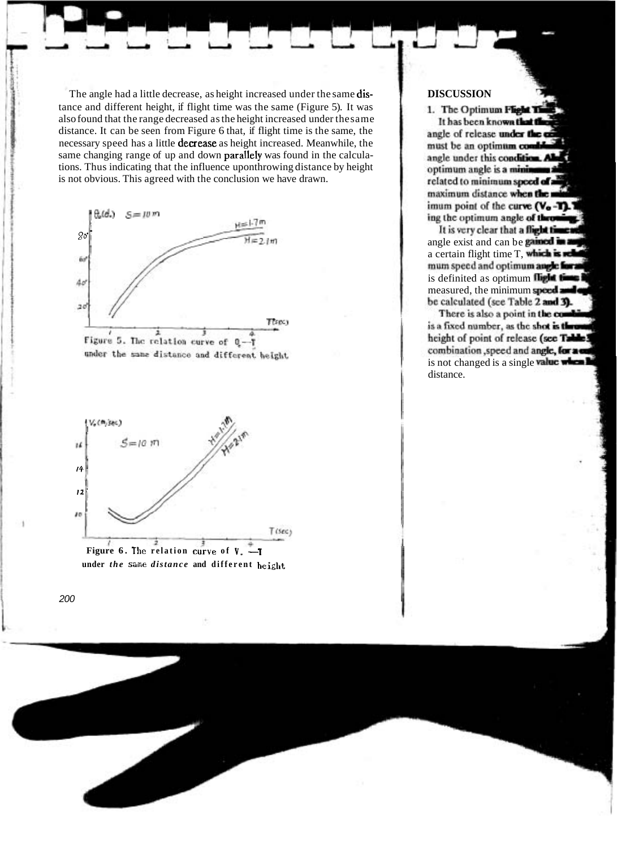The angle had a little decrease, as height increased under the same distance and different height, if flight time was the same (Figure 5). It was also found that the range decreased as the height increased under the same distance. It can be seen from Figure 6 that, if flight time is the same, the necessary speed has a little decrease as height increased. Meanwhile, the same changing range of up and down parallely was found in the calculations. Thus indicating that the influence uponthrowing distance by height is not obvious. This agreed with the conclusion we have drawn.







**under** *the* **snme** *distance* **and different** *height*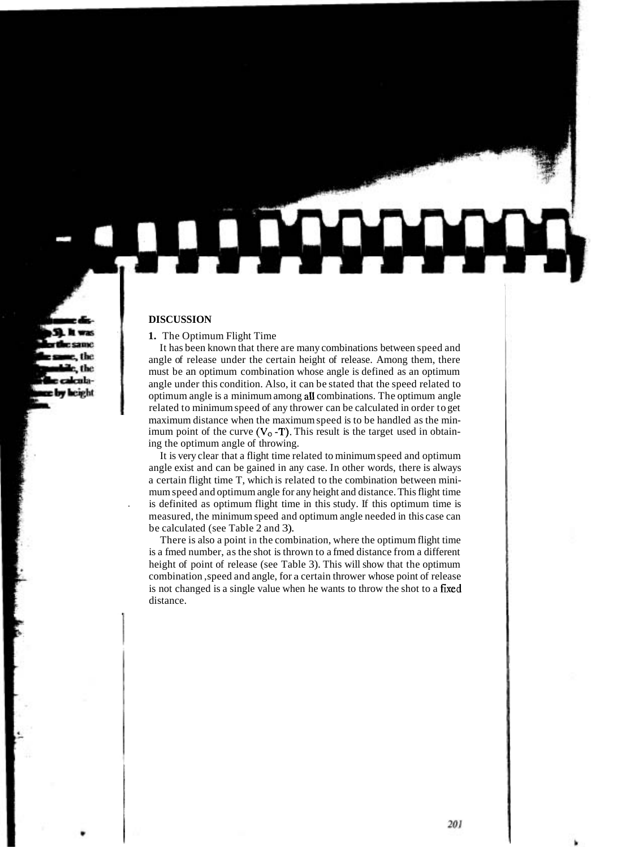### **DISCUSSION**

#### **1.** The Optimum Flight Time

It has been known that there are many combinations between speed and angle of release under the certain height of release. Among them, there must be an optimum combination whose angle is defined as an optimum angle under this condition. Also, it can be stated that the speed related to optimum angle is a minimum among all combinations. The optimum angle related to minimum speed of any thrower can be calculated in order to get maximum distance when the maximum speed is to be handled as the minimum point of the curve  $(V_0 - T)$ . This result is the target used in obtaining the optimum angle of throwing.

It is very clear that a flight time related to minimum speed and optimum angle exist and can be gained in any case. In other words, there is always a certain flight time T, which is related to the combination between minimum speed and optimum angle for any height and distance. This flight time . is definited as optimum flight time in this study. If this optimum time is measured, the minimum speed and optimum angle needed in this case can be calculated (see Table 2 and 3).

There is also a point in the combination, where the optimum flight time is a fmed number, as the shot is thrown to a fmed distance from a different height of point of release (see Table 3). This will show that the optimum combination ,speed and angle, for a certain thrower whose point of release is not changed is a single value when he wants to throw the shot to a fixed distance.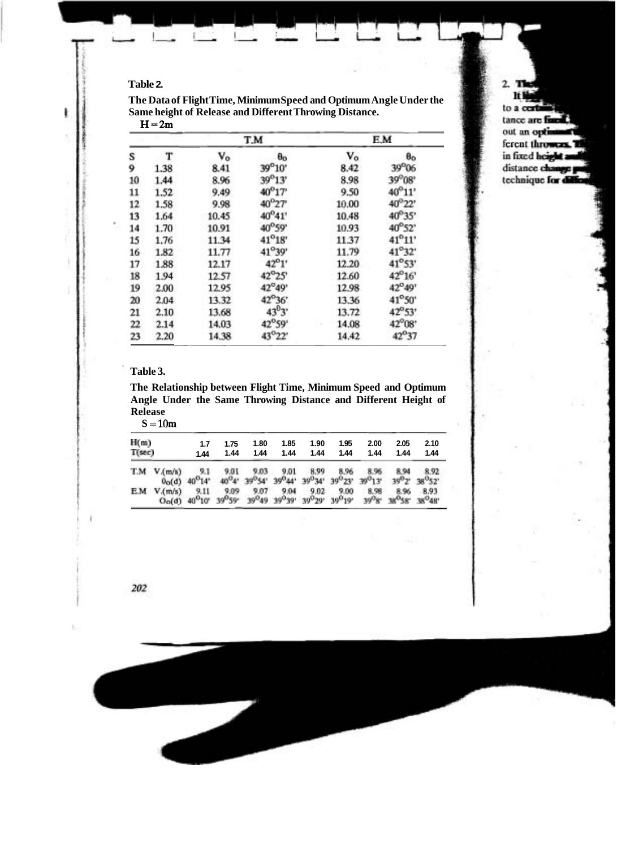## **Table 2.**

| The Data of Flight Time, Minimum Speed and Optimum Angle Under the |
|--------------------------------------------------------------------|
| Same height of Release and Different Throwing Distance.            |

| . . | -    |       |                 |       |                 |  |  |
|-----|------|-------|-----------------|-------|-----------------|--|--|
|     |      |       | T.M             | E.M   |                 |  |  |
| s   | т    | V0    | $\theta_{0}$    | V0    | $\theta$ o      |  |  |
| 9   | 1.38 | 8.41  | 39°10'          | 8.42  | 39°06           |  |  |
| 10  | 1.44 | 8.96  | 39°13'          | 8.98  | 39°08'          |  |  |
| 11  | 1.52 | 9.49  | $40^{0}17'$     | 9.50  | 40°11'          |  |  |
| 12  | 1.58 | 9.98  | $40^{9}27$      | 10.00 | 40°22'          |  |  |
| 13  | 1.64 | 10.45 | 40°41'          | 10.48 | 40°35'          |  |  |
| 14  | 1.70 | 10.91 | 40°59'          | 10.93 | 40°52'          |  |  |
| 15  | 1.76 | 11.34 | $41^{\circ}18'$ | 11.37 | 41°11'          |  |  |
| 16  | 1.82 | 11.77 | 41°39'          | 11.79 | $41^{\circ}32'$ |  |  |
| 17  | 1.88 | 12.17 | 42°1'           | 12.20 | 41°53'          |  |  |
| 18  | 1.94 | 12.57 | 42°25'          | 12.60 | 42°16'          |  |  |
| 19  | 2.00 | 12.95 | 42°49'          | 12.98 | 42°49'          |  |  |
| 20  | 2.04 | 13.32 | 42°36'          | 13.36 | 41°50'          |  |  |
| 21  | 2.10 | 13.68 | $43^{0}3'$      | 13.72 | 42°53'          |  |  |
| 22  | 2.14 | 14.03 | 42°59'          | 14.08 | 42°08'          |  |  |
| 23  | 2.20 | 14.38 | 43°22'          | 14.42 | 42°37           |  |  |

#### $H = 2m$

## **Table 3.**

**The Relationship between Flight Time, Minimum Speed and Optimum Angle Under the Same Throwing Distance and Different Height of Release** 

 $S = 10m$ 

| H(m)<br>$T(\sec)$ |               | 1.7<br>1.44                                                             | 1.75<br>1.44                            | 1.80<br>1.44 | 1.85<br>1.44                                      | 1.90<br>1.44                                                                           | 1.95<br>1.44        | 2.00<br>1.44       | 2.05<br>1.44                                   | 2.10<br>1.44          |
|-------------------|---------------|-------------------------------------------------------------------------|-----------------------------------------|--------------|---------------------------------------------------|----------------------------------------------------------------------------------------|---------------------|--------------------|------------------------------------------------|-----------------------|
|                   | $TM$ $V(m/s)$ | 9.1<br>9.11                                                             | $00(d)$ 40 <sup>0</sup> 14 <sup>°</sup> | 9.01<br>9.03 | 9.01<br>8.99<br>40°4' 39°54' 39°44' 39°34' 39°23' | 8.96                                                                                   | 8.96<br>$39^{0}13'$ | 8.94               | 8.92<br>39 <sup>0</sup> 2' 38 <sup>0</sup> 52' |                       |
|                   | $EM$ $V(m/s)$ | $O0(d)$ 40 <sup>o</sup> 10 <sup>o</sup> 39 <sup>o</sup> 59 <sup>o</sup> | 9.09                                    | 9.07         | 9.04                                              | 9.02<br>39 <sup>0</sup> 49 39 <sup>0</sup> 39' 39 <sup>0</sup> 29' 39 <sup>0</sup> 19' | 9.00                | 8.98<br>$39^{0}8'$ | 8.96                                           | 8.93<br>38°58' 38°48' |